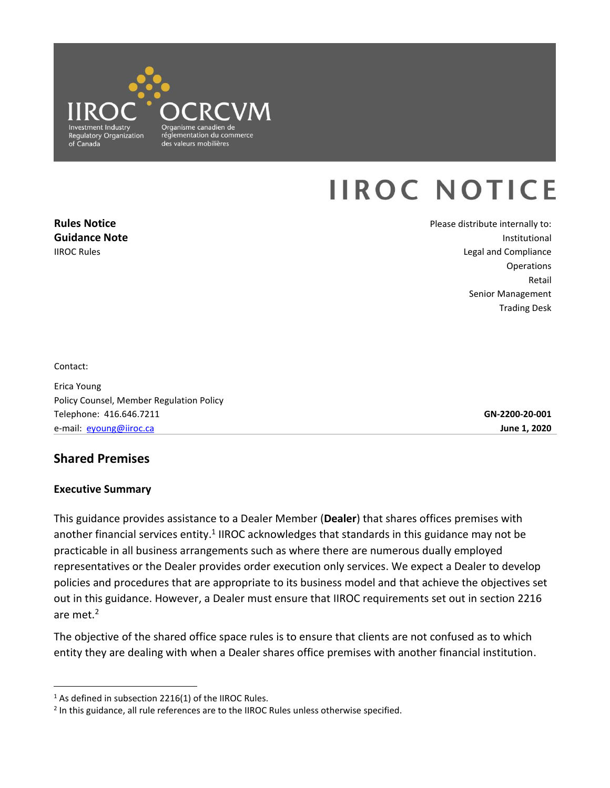

# **IIROC NOTICE**

**Rules Notice Guidance Note**  IIROC Rules

Please distribute internally to: Institutional Legal and Compliance **Operations** Retail Senior Management Trading Desk

Contact:

 $\overline{a}$ 

Erica Young Policy Counsel, Member Regulation Policy Telephone: 416.646.7211 e-mail: [eyoung@iiroc.ca](mailto:eyoung@iiroc.ca) **June 1, 2020** 

**GN-2200-20-001** 

# **Shared Premises**

#### **Executive Summary**

 This guidance provides assistance to a Dealer Member (**Dealer**) that shares offices premises with another financial services entity.<sup>1</sup> IIROC acknowledges that standards in this guidance may not be representatives or the Dealer provides order execution only services. We expect a Dealer to develop policies and procedures that are appropriate to its business model and that achieve the objectives set out in this guidance. However, a Dealer must ensure that IIROC requirements set out in section 2216 practicable in all business arrangements such as where there are numerous dually employed are met.2

 The objective of the shared office space rules is to ensure that clients are not confused as to which entity they are dealing with when a Dealer shares office premises with another financial institution.

 $1$  As defined in subsection 2216(1) of the IIROC Rules.

<sup>&</sup>lt;sup>2</sup> In this guidance, all rule references are to the IIROC Rules unless otherwise specified.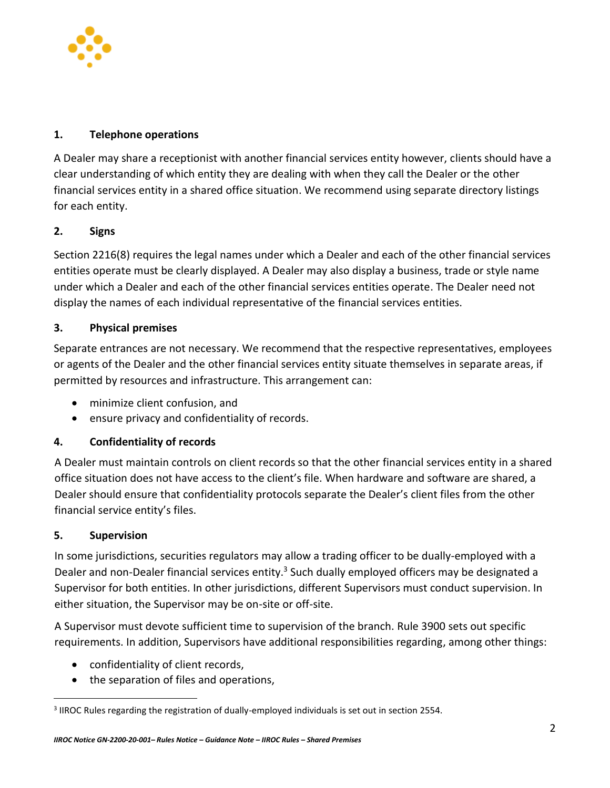

### **1. Telephone operations**

 A Dealer may share a receptionist with another financial services entity however, clients should have a clear understanding of which entity they are dealing with when they call the Dealer or the other financial services entity in a shared office situation. We recommend using separate directory listings for each entity.

# **2. Signs**

 Section 2216(8) requires the legal names under which a Dealer and each of the other financial services entities operate must be clearly displayed. A Dealer may also display a business, trade or style name under which a Dealer and each of the other financial services entities operate. The Dealer need not display the names of each individual representative of the financial services entities.

# **3. Physical premises**

 Separate entrances are not necessary. We recommend that the respective representatives, employees or agents of the Dealer and the other financial services entity situate themselves in separate areas, if permitted by resources and infrastructure. This arrangement can:

- minimize client confusion, and
- ensure privacy and confidentiality of records.

#### **4. Confidentiality of records**

 A Dealer must maintain controls on client records so that the other financial services entity in a shared office situation does not have access to the client's file. When hardware and software are shared, a Dealer should ensure that confidentiality protocols separate the Dealer's client files from the other financial service entity's files.

#### **5. Supervision**

 $\overline{a}$ 

Dealer and non-Dealer financial services entity.<sup>3</sup> Such dually employed officers may be designated a In some jurisdictions, securities regulators may allow a trading officer to be dually-employed with a Supervisor for both entities. In other jurisdictions, different Supervisors must conduct supervision. In either situation, the Supervisor may be on-site or off-site.

 A Supervisor must devote sufficient time to supervision of the branch. Rule 3900 sets out specific requirements. In addition, Supervisors have additional responsibilities regarding, among other things:

- confidentiality of client records,
- the separation of files and operations,

<sup>3</sup> IIROC Rules regarding the registration of dually-employed individuals is set out in section 2554.